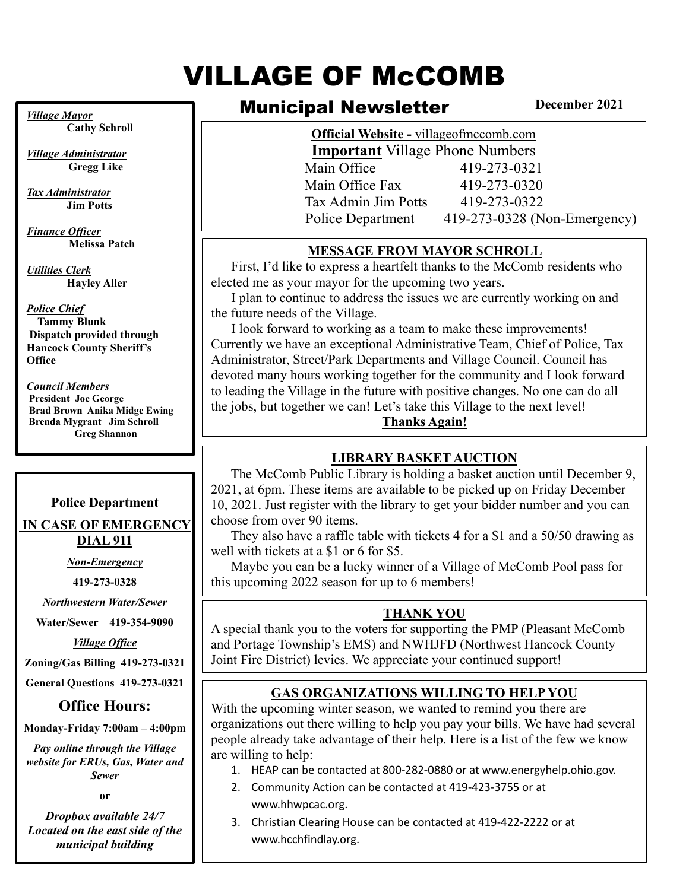# VILLAGE OF McCOMB

*Village Mayor* **Cathy Schroll**

*Village Administrator*  **Gregg Like**

*Tax Administrator* **Jim Potts**

*Finance Officer*  **Melissa Patch**

*Utilities Clerk* **Hayley Aller**

#### *Police Chief*

 **Tammy Blunk Dispatch provided through Hancock County Sheriff's Office**

#### *Council Members*

**President Joe George Brad Brown Anika Midge Ewing Brenda Mygrant Jim Schroll Greg Shannon**

#### **Police Department**

**IN CASE OF EMERGENCY DIAL 911**

*Non-Emergency* 

**419-273-0328**

*Northwestern Water/Sewer*

**Water/Sewer 419-354-9090**

*Village Office*

**Zoning/Gas Billing 419-273-0321**

**General Questions 419-273-0321**

## **Office Hours:**

**Monday-Friday 7:00am – 4:00pm**

*Pay online through the Village website for ERUs, Gas, Water and Sewer*

**or**

*Dropbox available 24/7 Located on the east side of the municipal building*

## Municipal Newsletter

**December 2021**

**Official Website -** villageofmccomb.com **Important** Village Phone Numbers Main Office 419-273-0321 Main Office Fax 419-273-0320 Tax Admin Jim Potts 419-273-0322 Police Department 419-273-0328 (Non-Emergency)

#### **MESSAGE FROM MAYOR SCHROLL**

 First, I'd like to express a heartfelt thanks to the McComb residents who elected me as your mayor for the upcoming two years.

 I plan to continue to address the issues we are currently working on and the future needs of the Village.

 I look forward to working as a team to make these improvements! Currently we have an exceptional Administrative Team, Chief of Police, Tax Administrator, Street/Park Departments and Village Council. Council has devoted many hours working together for the community and I look forward to leading the Village in the future with positive changes. No one can do all the jobs, but together we can! Let's take this Village to the next level!

#### **Thanks Again!**

#### **LIBRARY BASKET AUCTION**

 The McComb Public Library is holding a basket auction until December 9, 2021, at 6pm. These items are available to be picked up on Friday December 10, 2021. Just register with the library to get your bidder number and you can choose from over 90 items.

 They also have a raffle table with tickets 4 for a \$1 and a 50/50 drawing as well with tickets at a \$1 or 6 for \$5.

 Maybe you can be a lucky winner of a Village of McComb Pool pass for this upcoming 2022 season for up to 6 members!

## **THANK YOU**

A special thank you to the voters for supporting the PMP (Pleasant McComb and Portage Township's EMS) and NWHJFD (Northwest Hancock County Joint Fire District) levies. We appreciate your continued support!

## **GAS ORGANIZATIONS WILLING TO HELP YOU**

With the upcoming winter season, we wanted to remind you there are organizations out there willing to help you pay your bills. We have had several people already take advantage of their help. Here is a list of the few we know are willing to help:

- 1. HEAP can be contacted at 800-282-0880 or at www.energyhelp.ohio.gov.
- 2. Community Action can be contacted at 419-423-3755 or at www.hhwpcac.org.
- 3. Christian Clearing House can be contacted at 419-422-2222 or at www.hcchfindlay.org.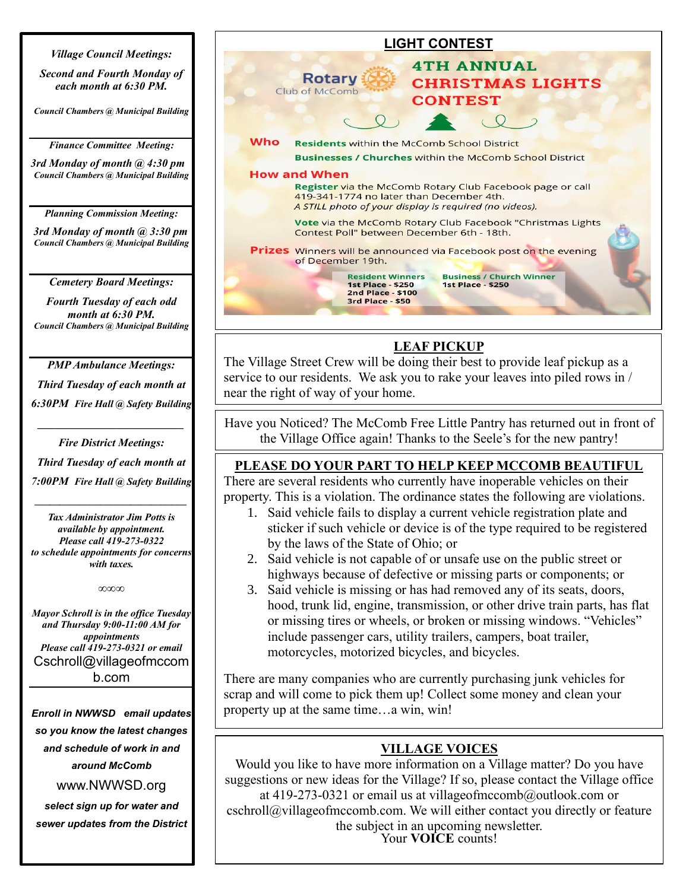#### *Village Council Meetings:*

*Second and Fourth Monday of each month at 6:30 PM.*

*Council Chambers @ Municipal Building*

*Finance Committee Meeting:*

*3rd Monday of month @ 4:30 pm Council Chambers @ Municipal Building*

*Planning Commission Meeting:*

*3rd Monday of month @ 3:30 pm Council Chambers @ Municipal Building*

#### *Cemetery Board Meetings:*

*Fourth Tuesday of each odd month at 6:30 PM. Council Chambers @ Municipal Building*

*PMP Ambulance Meetings: Third Tuesday of each month at 6:30PM Fire Hall @ Safety Building*

#### *Fire District Meetings:*

*Third Tuesday of each month at* 

*7:00PM Fire Hall @ Safety Building \_\_\_\_\_\_\_\_\_\_\_\_\_\_\_\_\_\_\_\_\_\_\_\_\_\_\_\_\_\_*

*Tax Administrator Jim Potts is available by appointment. Please call 419-273-0322 to schedule appointments for concerns with taxes.*

*∞∞∞*

*Mayor Schroll is in the office Tuesday and Thursday 9:00-11:00 AM for appointments Please call 419-273-0321 or email*  [Cschroll@villageofmccom](mailto:Cschroll@villageofmccomb.com) [b.com](mailto:Cschroll@villageofmccomb.com)

*Enroll in NWWSD email updates so you know the latest changes and schedule of work in and around McComb*  [www.NWWSD.org](http://www.nwwsd.org/)

*select sign up for water and sewer updates from the District*



service to our residents. We ask you to rake your leaves into piled rows in / near the right of way of your home.

Have you Noticed? The McComb Free Little Pantry has returned out in front of the Village Office again! Thanks to the Seele's for the new pantry!

## **PLEASE DO YOUR PART TO HELP KEEP MCCOMB BEAUTIFUL**

There are several residents who currently have inoperable vehicles on their property. This is a violation. The ordinance states the following are violations.

- 1. Said vehicle fails to display a current vehicle registration plate and sticker if such vehicle or device is of the type required to be registered by the laws of the State of Ohio; or
- 2. Said vehicle is not capable of or unsafe use on the public street or highways because of defective or missing parts or components; or
- 3. Said vehicle is missing or has had removed any of its seats, doors, hood, trunk lid, engine, transmission, or other drive train parts, has flat or missing tires or wheels, or broken or missing windows. "Vehicles" include passenger cars, utility trailers, campers, boat trailer, motorcycles, motorized bicycles, and bicycles.

There are many companies who are currently purchasing junk vehicles for scrap and will come to pick them up! Collect some money and clean your property up at the same time…a win, win!

## **VILLAGE VOICES**

Would you like to have more information on a Village matter? Do you have suggestions or new ideas for the Village? If so, please contact the Village office at 419-273-0321 or email us at [villageofmccomb@outlook.com](mailto:villageofmccomb@outlook.com) or [cschroll@villageofmccomb.com.](mailto:cschroll@villageofmccomb.com) We will either contact you directly or feature the subject in an upcoming newsletter. Your **VOICE** counts!